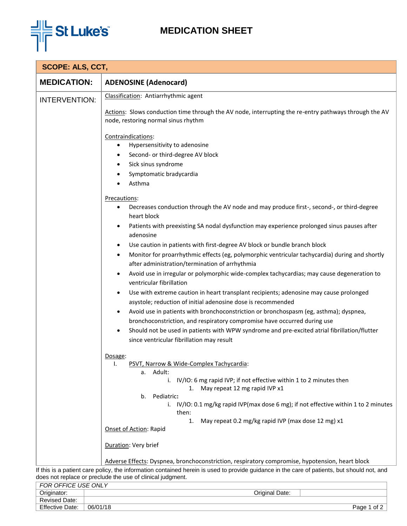

## **MEDICATION SHEET**

| <b>MEDICATION:</b>   | <b>ADENOSINE (Adenocard)</b>                                                                                                                                                                                                                                                                                                                                                                                                                                                                                                                                                                                                                                                                                                                                                                                                                                            |
|----------------------|-------------------------------------------------------------------------------------------------------------------------------------------------------------------------------------------------------------------------------------------------------------------------------------------------------------------------------------------------------------------------------------------------------------------------------------------------------------------------------------------------------------------------------------------------------------------------------------------------------------------------------------------------------------------------------------------------------------------------------------------------------------------------------------------------------------------------------------------------------------------------|
|                      |                                                                                                                                                                                                                                                                                                                                                                                                                                                                                                                                                                                                                                                                                                                                                                                                                                                                         |
| <b>INTERVENTION:</b> | Classification: Antiarrhythmic agent<br>Actions: Slows conduction time through the AV node, interrupting the re-entry pathways through the AV<br>node, restoring normal sinus rhythm<br>Contraindications:<br>Hypersensitivity to adenosine<br>٠<br>Second- or third-degree AV block<br>٠<br>Sick sinus syndrome<br>٠<br>Symptomatic bradycardia<br>٠<br>Asthma<br>Precautions:<br>Decreases conduction through the AV node and may produce first-, second-, or third-degree<br>heart block<br>Patients with preexisting SA nodal dysfunction may experience prolonged sinus pauses after<br>$\bullet$<br>adenosine<br>$\bullet$                                                                                                                                                                                                                                        |
|                      | Use caution in patients with first-degree AV block or bundle branch block<br>Monitor for proarrhythmic effects (eg, polymorphic ventricular tachycardia) during and shortly<br>٠<br>after administration/termination of arrhythmia<br>Avoid use in irregular or polymorphic wide-complex tachycardias; may cause degeneration to<br>$\bullet$<br>ventricular fibrillation<br>Use with extreme caution in heart transplant recipients; adenosine may cause prolonged<br>٠<br>asystole; reduction of initial adenosine dose is recommended<br>Avoid use in patients with bronchoconstriction or bronchospasm (eg, asthma); dyspnea,<br>$\bullet$<br>bronchoconstriction, and respiratory compromise have occurred during use<br>Should not be used in patients with WPW syndrome and pre-excited atrial fibrillation/flutter<br>since ventricular fibrillation may result |
|                      | Dosage:<br>PSVT, Narrow & Wide-Complex Tachycardia:<br>ı.<br>a. Adult:<br>i. IV/IO: 6 mg rapid IVP; if not effective within 1 to 2 minutes then<br>1. May repeat 12 mg rapid IVP x1<br>Pediatric:<br>b.<br>i. IV/IO: 0.1 mg/kg rapid IVP(max dose 6 mg); if not effective within 1 to 2 minutes<br>then:<br>May repeat 0.2 mg/kg rapid IVP (max dose 12 mg) x1<br>1.<br>Onset of Action: Rapid<br>Duration: Very brief<br>Adverse Effects: Dyspnea, bronchoconstriction, respiratory compromise, hypotension, heart block                                                                                                                                                                                                                                                                                                                                               |

If this is a patient care policy, the information contained herein is used to provide guidance in the care of patients, but should not, and does not replace or preclude the use of clinical judgment.

| FOR OFFICE USE ONLY    |                    |      |  |
|------------------------|--------------------|------|--|
| Originator:            | Original Date:     |      |  |
| Revised Date:          |                    |      |  |
| <b>Effective Date:</b> | 06/01/18<br>Page 1 | of 2 |  |